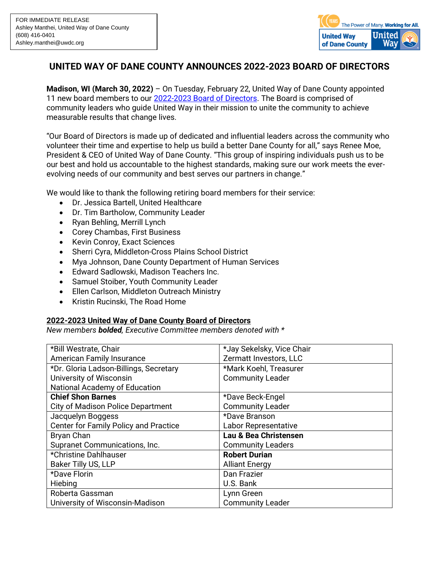

## **UNITED WAY OF DANE COUNTY ANNOUNCES 2022-2023 BOARD OF DIRECTORS**

**Madison, WI (March 30, 2022)** – On Tuesday, February 22, United Way of Dane County appointed 11 new board members to our [2022-2023 Board of Directors.](https://www.unitedwaydanecounty.org/about-us/team/board-of-directors/) The Board is comprised of community leaders who guide United Way in their mission to unite the community to achieve measurable results that change lives.

"Our Board of Directors is made up of dedicated and influential leaders across the community who volunteer their time and expertise to help us build a better Dane County for all," says Renee Moe, President & CEO of United Way of Dane County. "This group of inspiring individuals push us to be our best and hold us accountable to the highest standards, making sure our work meets the everevolving needs of our community and best serves our partners in change."

We would like to thank the following retiring board members for their service:

- Dr. Jessica Bartell, United Healthcare
- Dr. Tim Bartholow, Community Leader
- Ryan Behling, Merrill Lynch
- Corey Chambas, First Business
- Kevin Conroy, Exact Sciences
- Sherri Cyra, Middleton-Cross Plains School District
- Mya Johnson, Dane County Department of Human Services
- Edward Sadlowski, Madison Teachers Inc.
- Samuel Stoiber, Youth Community Leader
- Ellen Carlson, Middleton Outreach Ministry
- Kristin Rucinski, The Road Home

## **2022-2023 United Way of Dane County Board of Directors**

*New members bolded, Executive Committee members denoted with \**

| *Bill Westrate, Chair                  | *Jay Sekelsky, Vice Chair   |
|----------------------------------------|-----------------------------|
| <b>American Family Insurance</b>       | Zermatt Investors, LLC      |
| *Dr. Gloria Ladson-Billings, Secretary | *Mark Koehl, Treasurer      |
| University of Wisconsin                | <b>Community Leader</b>     |
| National Academy of Education          |                             |
| <b>Chief Shon Barnes</b>               | *Dave Beck-Engel            |
| City of Madison Police Department      | <b>Community Leader</b>     |
| Jacquelyn Boggess                      | *Dave Branson               |
| Center for Family Policy and Practice  | <b>Labor Representative</b> |
| Bryan Chan                             | Lau & Bea Christensen       |
| Supranet Communications, Inc.          | <b>Community Leaders</b>    |
| *Christine Dahlhauser                  | <b>Robert Durian</b>        |
| Baker Tilly US, LLP                    | <b>Alliant Energy</b>       |
| *Dave Florin                           | Dan Frazier                 |
| Hiebing                                | U.S. Bank                   |
| Roberta Gassman                        | Lynn Green                  |
| University of Wisconsin-Madison        | <b>Community Leader</b>     |